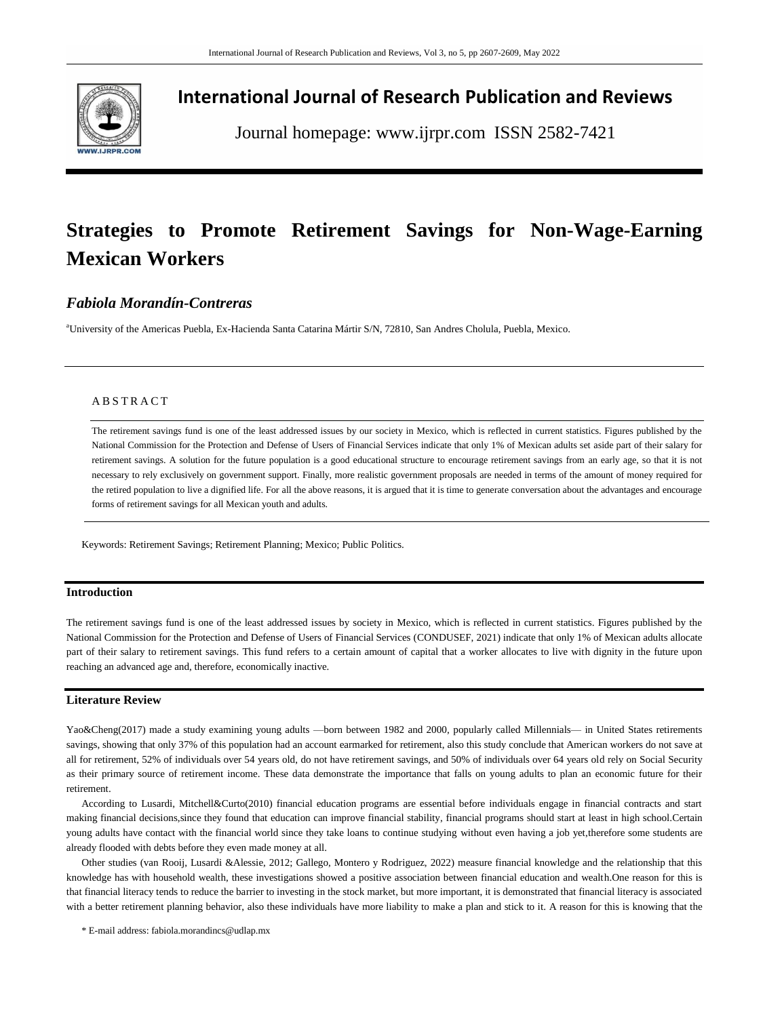

## **International Journal of Research Publication and Reviews**

Journal homepage: www.ijrpr.com ISSN 2582-7421

# **Strategies to Promote Retirement Savings for Non-Wage-Earning Mexican Workers**

## *Fabiola Morandín-Contreras*

<sup>a</sup>University of the Americas Puebla, Ex-Hacienda Santa Catarina Mártir S/N, 72810, San Andres Cholula, Puebla, Mexico.

## A B S T R A C T

The retirement savings fund is one of the least addressed issues by our society in Mexico, which is reflected in current statistics. Figures published by the National Commission for the Protection and Defense of Users of Financial Services indicate that only 1% of Mexican adults set aside part of their salary for retirement savings. A solution for the future population is a good educational structure to encourage retirement savings from an early age, so that it is not necessary to rely exclusively on government support. Finally, more realistic government proposals are needed in terms of the amount of money required for the retired population to live a dignified life. For all the above reasons, it is argued that it is time to generate conversation about the advantages and encourage forms of retirement savings for all Mexican youth and adults.

Keywords: Retirement Savings; Retirement Planning; Mexico; Public Politics.

## **Introduction**

The retirement savings fund is one of the least addressed issues by society in Mexico, which is reflected in current statistics. Figures published by the National Commission for the Protection and Defense of Users of Financial Services (CONDUSEF, 2021) indicate that only 1% of Mexican adults allocate part of their salary to retirement savings. This fund refers to a certain amount of capital that a worker allocates to live with dignity in the future upon reaching an advanced age and, therefore, economically inactive.

## **Literature Review**

Yao&Cheng(2017) made a study examining young adults —born between 1982 and 2000, popularly called Millennials— in United States retirements savings, showing that only 37% of this population had an account earmarked for retirement, also this study conclude that American workers do not save at all for retirement, 52% of individuals over 54 years old, do not have retirement savings, and 50% of individuals over 64 years old rely on Social Security as their primary source of retirement income. These data demonstrate the importance that falls on young adults to plan an economic future for their retirement.

According to Lusardi, Mitchell&Curto(2010) financial education programs are essential before individuals engage in financial contracts and start making financial decisions,since they found that education can improve financial stability, financial programs should start at least in high school.Certain young adults have contact with the financial world since they take loans to continue studying without even having a job yet,therefore some students are already flooded with debts before they even made money at all.

Other studies (van Rooij, Lusardi &Alessie, 2012; Gallego, Montero y Rodriguez, 2022) measure financial knowledge and the relationship that this knowledge has with household wealth, these investigations showed a positive association between financial education and wealth.One reason for this is that financial literacy tends to reduce the barrier to investing in the stock market, but more important, it is demonstrated that financial literacy is associated with a better retirement planning behavior, also these individuals have more liability to make a plan and stick to it. A reason for this is knowing that the

\* E-mail address: fabiola.morandincs@udlap.mx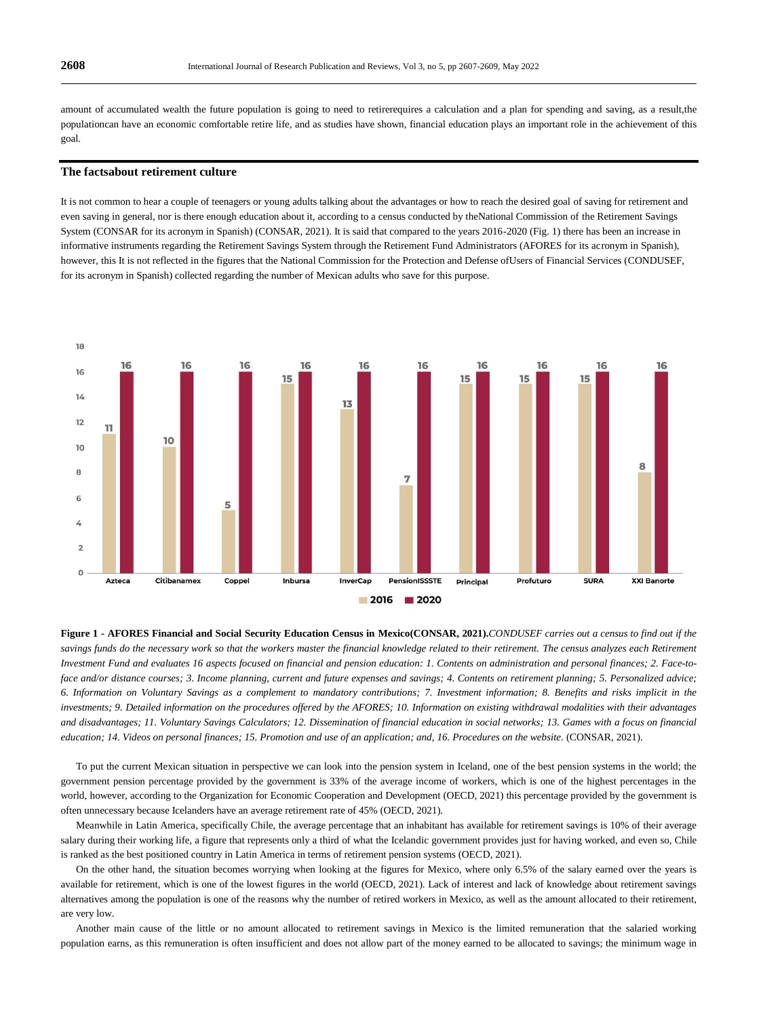amount of accumulated wealth the future population is going to need to retirerequires a calculation and a plan for spending and saving, as a result,the populationcan have an economic comfortable retire life, and as studies have shown, financial education plays an important role in the achievement of this goal.

## **The factsabout retirement culture**

It is not common to hear a couple of teenagers or young adults talking about the advantages or how to reach the desired goal of saving for retirement and even saving in general, nor is there enough education about it, according to a census conducted by theNational Commission of the Retirement Savings System (CONSAR for its acronym in Spanish) (CONSAR, 2021). It is said that compared to the years 2016-2020 (Fig. 1) there has been an increase in informative instruments regarding the Retirement Savings System through the Retirement Fund Administrators (AFORES for its acronym in Spanish), however, this It is not reflected in the figures that the National Commission for the Protection and Defense ofUsers of Financial Services (CONDUSEF, for its acronym in Spanish) collected regarding the number of Mexican adults who save for this purpose.



**Figure 1 - AFORES Financial and Social Security Education Census in Mexico(CONSAR, 2021).***CONDUSEF carries out a census to find out if the*  savings funds do the necessary work so that the workers master the financial knowledge related to their retirement. The census analyzes each Retirement *Investment Fund and evaluates 16 aspects focused on financial and pension education: 1. Contents on administration and personal finances; 2. Face-toface and/or distance courses; 3. Income planning, current and future expenses and savings; 4. Contents on retirement planning; 5. Personalized advice; 6. Information on Voluntary Savings as a complement to mandatory contributions; 7. Investment information; 8. Benefits and risks implicit in the investments; 9. Detailed information on the procedures offered by the AFORES; 10. Information on existing withdrawal modalities with their advantages*  and disadvantages; 11. Voluntary Savings Calculators; 12. Dissemination of financial education in social networks; 13. Games with a focus on financial *education; 14. Videos on personal finances; 15. Promotion and use of an application; and, 16. Procedures on the website.* (CONSAR, 2021).

To put the current Mexican situation in perspective we can look into the pension system in Iceland, one of the best pension systems in the world; the government pension percentage provided by the government is 33% of the average income of workers, which is one of the highest percentages in the world, however, according to the Organization for Economic Cooperation and Development (OECD, 2021) this percentage provided by the government is often unnecessary because Icelanders have an average retirement rate of 45% (OECD, 2021).

Meanwhile in Latin America, specifically Chile, the average percentage that an inhabitant has available for retirement savings is 10% of their average salary during their working life, a figure that represents only a third of what the Icelandic government provides just for having worked, and even so, Chile is ranked as the best positioned country in Latin America in terms of retirement pension systems (OECD, 2021).

On the other hand, the situation becomes worrying when looking at the figures for Mexico, where only 6.5% of the salary earned over the years is available for retirement, which is one of the lowest figures in the world (OECD, 2021). Lack of interest and lack of knowledge about retirement savings alternatives among the population is one of the reasons why the number of retired workers in Mexico, as well as the amount allocated to their retirement, are very low.

Another main cause of the little or no amount allocated to retirement savings in Mexico is the limited remuneration that the salaried working population earns, as this remuneration is often insufficient and does not allow part of the money earned to be allocated to savings; the minimum wage in